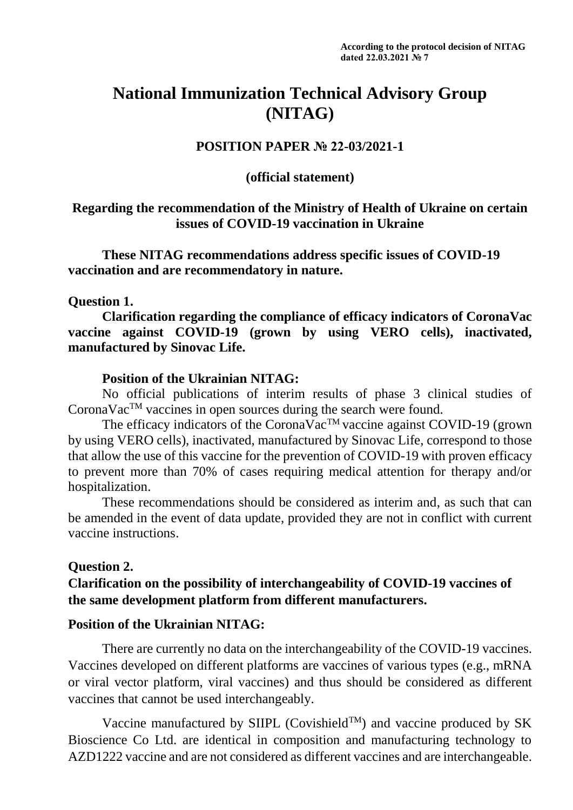# **National Immunization Technical Advisory Group (NITAG)**

## **POSITION PAPER № 22-03/2021-1**

## **(official statement)**

## **Regarding the recommendation of the Ministry of Health of Ukraine on certain issues of COVID-19 vaccination in Ukraine**

**These NITAG recommendations address specific issues of COVID-19 vaccination and are recommendatory in nature.**

#### **Question 1.**

**Clarification regarding the compliance of efficacy indicators of CoronaVac vaccine against COVID-19 (grown by using VERO cells), inactivated, manufactured by Sinovac Life.**

#### **Position of the Ukrainian NITAG:**

No official publications of interim results of phase 3 clinical studies of CoronaVac<sup>TM</sup> vaccines in open sources during the search were found.

The efficacy indicators of the CoronaVac<sup>TM</sup> vaccine against COVID-19 (grown by using VERO cells), inactivated, manufactured by Sinovac Life, correspond to those that allow the use of this vaccine for the prevention of COVID-19 with proven efficacy to prevent more than 70% of cases requiring medical attention for therapy and/or hospitalization.

These recommendations should be considered as interim and, as such that can be amended in the event of data update, provided they are not in conflict with current vaccine instructions.

#### **Question 2.**

# **Clarification on the possibility of interchangeability of COVID-19 vaccines of the same development platform from different manufacturers.**

#### **Position of the Ukrainian NITAG:**

There are currently no data on the interchangeability of the COVID-19 vaccines. Vaccines developed on different platforms are vaccines of various types (e.g., mRNA or viral vector platform, viral vaccines) and thus should be considered as different vaccines that cannot be used interchangeably.

Vaccine manufactured by SIIPL (Covishield<sup>TM</sup>) and vaccine produced by SK Bioscience Co Ltd. are identical in composition and manufacturing technology to AZD1222 vaccine and are not considered as different vaccines and are interchangeable.